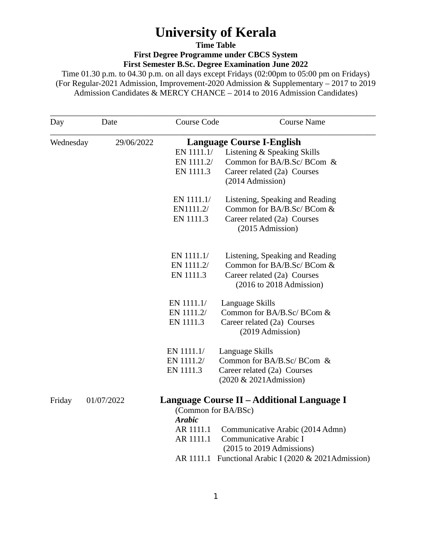# **University of Kerala**

**Time Table**

**First Degree Programme under CBCS System First Semester B.Sc. Degree Examination June 2022**

Time 01.30 p.m. to 04.30 p.m. on all days except Fridays (02:00pm to 05:00 pm on Fridays) (For Regular-2021 Admission, Improvement-2020 Admission & Supplementary – 2017 to 2019 Admission Candidates & MERCY CHANCE – 2014 to 2016 Admission Candidates)

| Day       | Date       | <b>Course Code</b>               | <b>Course Name</b>                                      |  |
|-----------|------------|----------------------------------|---------------------------------------------------------|--|
| Wednesday | 29/06/2022 | <b>Language Course I-English</b> |                                                         |  |
|           |            | EN 1111.1/                       | Listening & Speaking Skills                             |  |
|           |            | EN 1111.2/                       | Common for BA/B.Sc/ BCom &                              |  |
|           |            | EN 1111.3                        | Career related (2a) Courses                             |  |
|           |            |                                  | (2014 Admission)                                        |  |
|           |            | EN 1111.1/                       | Listening, Speaking and Reading                         |  |
|           |            | EN1111.2/                        | Common for BA/B.Sc/ BCom &                              |  |
|           |            | EN 1111.3                        | Career related (2a) Courses<br>(2015 Admission)         |  |
|           |            | EN 1111.1/                       | Listening, Speaking and Reading                         |  |
|           |            | EN 1111.2/                       | Common for BA/B.Sc/ BCom &                              |  |
|           |            | EN 1111.3                        | Career related (2a) Courses<br>(2016 to 2018 Admission) |  |
|           |            |                                  |                                                         |  |
|           |            | EN 1111.1/                       | Language Skills                                         |  |
|           |            | EN 1111.2/                       | Common for BA/B.Sc/ BCom &                              |  |
|           |            | EN 1111.3                        | Career related (2a) Courses<br>(2019 Admission)         |  |
|           |            | EN 1111.1/                       | Language Skills                                         |  |
|           |            | EN 1111.2/                       | Common for BA/B.Sc/ BCom &                              |  |
|           |            | EN 1111.3                        | Career related (2a) Courses                             |  |
|           |            |                                  | (2020 & 2021Admission)                                  |  |
| Friday    | 01/07/2022 | (Common for BA/BSc)              | Language Course II – Additional Language I              |  |
|           |            | <b>Arabic</b>                    |                                                         |  |
|           |            | AR 1111.1                        | Communicative Arabic (2014 Admn)                        |  |
|           |            | AR 1111.1                        | Communicative Arabic I                                  |  |
|           |            |                                  | (2015 to 2019 Admissions)                               |  |
|           |            |                                  | AR 1111.1 Functional Arabic I (2020 & 2021Admission)    |  |
|           |            |                                  |                                                         |  |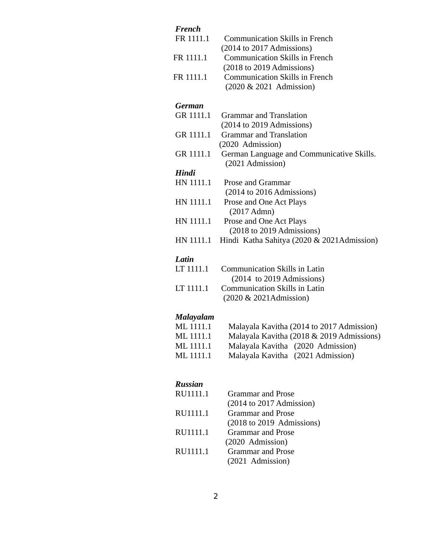| <b>French</b><br>FR 1111.1<br>FR 1111.1<br>FR 1111.1 | <b>Communication Skills in French</b><br>$(2014$ to 2017 Admissions)<br><b>Communication Skills in French</b><br>(2018 to 2019 Admissions)<br><b>Communication Skills in French</b><br>(2020 & 2021 Admission) |
|------------------------------------------------------|----------------------------------------------------------------------------------------------------------------------------------------------------------------------------------------------------------------|
| <b>German</b>                                        |                                                                                                                                                                                                                |
| GR 1111.1                                            | <b>Grammar and Translation</b>                                                                                                                                                                                 |
|                                                      | (2014 to 2019 Admissions)                                                                                                                                                                                      |
| GR 1111.1                                            | <b>Grammar and Translation</b><br>(2020 Admission)                                                                                                                                                             |
| GR 1111.1                                            | German Language and Communicative Skills.<br>(2021 Admission)                                                                                                                                                  |
| <b>Hindi</b>                                         |                                                                                                                                                                                                                |
| HN 1111.1                                            | Prose and Grammar                                                                                                                                                                                              |
|                                                      | $(2014 \text{ to } 2016 \text{ Admissions})$                                                                                                                                                                   |
| HN 1111.1                                            | Prose and One Act Plays                                                                                                                                                                                        |
|                                                      | $(2017$ Admn $)$                                                                                                                                                                                               |
| HN 1111.1                                            | Prose and One Act Plays                                                                                                                                                                                        |
|                                                      | (2018 to 2019 Admissions)                                                                                                                                                                                      |
| HN 1111.1                                            | Hindi Katha Sahitya (2020 & 2021Admission)                                                                                                                                                                     |
| Latin                                                |                                                                                                                                                                                                                |
| LT 1111.1                                            | <b>Communication Skills in Latin</b>                                                                                                                                                                           |
|                                                      | $(2014 \text{ to } 2019 \text{ Admissions})$                                                                                                                                                                   |
| LT 1111.1                                            | <b>Communication Skills in Latin</b>                                                                                                                                                                           |
|                                                      | (2020 & 2021Admission)                                                                                                                                                                                         |
| <b>Malayalam</b>                                     |                                                                                                                                                                                                                |
| ML 1111.1                                            | Malayala Kavitha (2014 to 2017 Admission)                                                                                                                                                                      |
| ML 1111.1                                            | Malayala Kavitha (2018 & 2019 Admissions)                                                                                                                                                                      |
| ML 1111.1                                            | Malayala Kavitha (2020 Admission)                                                                                                                                                                              |
| ML 1111.1                                            | Malayala Kavitha (2021 Admission)                                                                                                                                                                              |
|                                                      |                                                                                                                                                                                                                |
| <b>Russian</b>                                       |                                                                                                                                                                                                                |
| RU1111.1                                             | <b>Grammar</b> and Prose<br>$(2014$ to 2017 Admission)                                                                                                                                                         |
| RU1111.1                                             | <b>Grammar and Prose</b>                                                                                                                                                                                       |
|                                                      | $(2018 \text{ to } 2019 \text{ Admissions})$                                                                                                                                                                   |
| RU1111.1                                             | <b>Grammar and Prose</b>                                                                                                                                                                                       |
|                                                      | (2020 Admission)                                                                                                                                                                                               |
| RU1111.1                                             | <b>Grammar and Prose</b>                                                                                                                                                                                       |

2

Grammar and Prose (2021 Admission)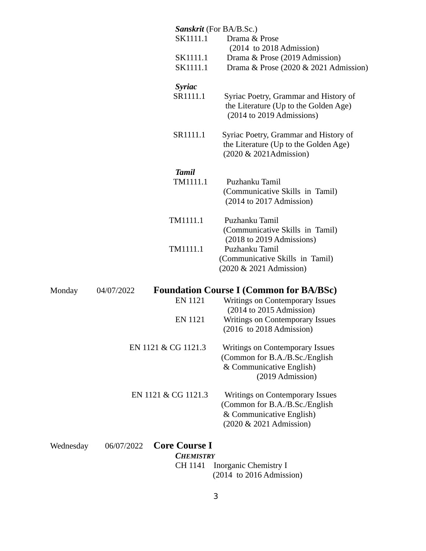|           |                                    | <b>Sanskrit</b> (For BA/B.Sc.)                                                                                           |
|-----------|------------------------------------|--------------------------------------------------------------------------------------------------------------------------|
|           | SK1111.1                           | Drama & Prose                                                                                                            |
|           | SK1111.1                           | $(2014)$ to 2018 Admission)<br>Drama & Prose (2019 Admission)                                                            |
|           | SK1111.1                           | Drama & Prose (2020 & 2021 Admission)                                                                                    |
|           | <b>Syriac</b>                      |                                                                                                                          |
|           | SR1111.1                           | Syriac Poetry, Grammar and History of<br>the Literature (Up to the Golden Age)<br>(2014 to 2019 Admissions)              |
|           | SR1111.1                           | Syriac Poetry, Grammar and History of<br>the Literature (Up to the Golden Age)<br>(2020 & 2021Admission)                 |
|           | <b>Tamil</b>                       |                                                                                                                          |
|           | TM1111.1                           | Puzhanku Tamil<br>(Communicative Skills in Tamil)<br>$(2014$ to 2017 Admission)                                          |
|           | TM1111.1                           | Puzhanku Tamil<br>(Communicative Skills in Tamil)                                                                        |
|           | TM1111.1                           | (2018 to 2019 Admissions)<br>Puzhanku Tamil<br>(Communicative Skills in Tamil)<br>(2020 & 2021 Admission)                |
| Monday    | 04/07/2022                         | <b>Foundation Course I (Common for BA/BSc)</b>                                                                           |
|           | EN 1121                            | <b>Writings on Contemporary Issues</b><br>$(2014$ to 2015 Admission)                                                     |
|           | EN 1121                            | <b>Writings on Contemporary Issues</b><br>$(2016 \text{ to } 2018 \text{ Admission})$                                    |
|           | EN 1121 & CG 1121.3                | <b>Writings on Contemporary Issues</b><br>(Common for B.A./B.Sc./English<br>& Communicative English)<br>(2019 Admission) |
|           | EN 1121 & CG 1121.3                | Writings on Contemporary Issues<br>(Common for B.A./B.Sc./English<br>& Communicative English)<br>(2020 & 2021 Admission) |
| Wednesday | <b>Core Course I</b><br>06/07/2022 |                                                                                                                          |
|           | <b>CHEMISTRY</b>                   |                                                                                                                          |
|           | CH 1141                            | <b>Inorganic Chemistry I</b><br>$(2014)$ to 2016 Admission)                                                              |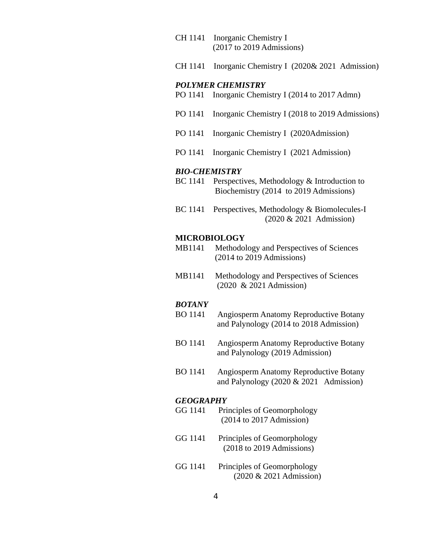- CH 1141 Inorganic Chemistry I (2017 to 2019 Admissions)
- CH 1141 Inorganic Chemistry I (2020& 2021 Admission)

## *POLYMER CHEMISTRY*

- PO 1141 Inorganic Chemistry I (2014 to 2017 Admn)
- PO 1141 Inorganic Chemistry I (2018 to 2019 Admissions)
- PO 1141 Inorganic Chemistry I (2020Admission)
- PO 1141 Inorganic Chemistry I (2021 Admission)

### *BIO-CHEMISTRY*

- BC 1141 Perspectives, Methodology & Introduction to Biochemistry (2014 to 2019 Admissions)
- BC 1141 Perspectives, Methodology & Biomolecules-I (2020 & 2021 Admission)

### **MICROBIOLOGY**

- MB1141 Methodology and Perspectives of Sciences (2014 to 2019 Admissions)
- MB1141 Methodology and Perspectives of Sciences (2020 & 2021 Admission)

#### *BOTANY*

- BO 1141 Angiosperm Anatomy Reproductive Botany and Palynology (2014 to 2018 Admission)
- BO 1141 Angiosperm Anatomy Reproductive Botany and Palynology (2019 Admission)
- BO 1141 Angiosperm Anatomy Reproductive Botany and Palynology (2020 & 2021 Admission)

#### *GEOGRAPHY*

- GG 1141 Principles of Geomorphology (2014 to 2017 Admission)
- GG 1141 Principles of Geomorphology (2018 to 2019 Admissions)
- GG 1141 Principles of Geomorphology (2020 & 2021 Admission)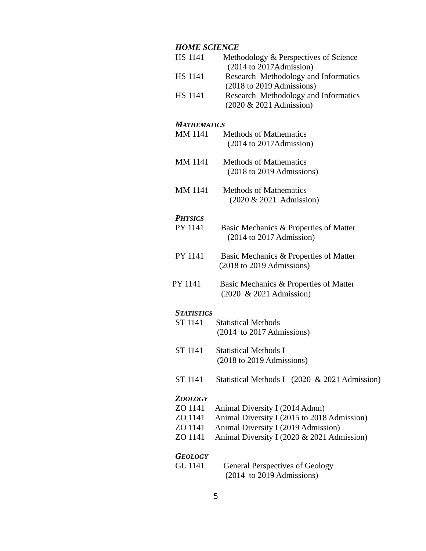# *HOME SCIENCE*

| HS 1141            | Methodology & Perspectives of Science<br>(2014 to 2017Admission)           |
|--------------------|----------------------------------------------------------------------------|
| HS 1141            | Research Methodology and Informatics<br>(2018 to 2019 Admissions)          |
| HS 1141            | Research Methodology and Informatics<br>(2020 & 2021 Admission)            |
| <b>MATHEMATICS</b> |                                                                            |
| MM 1141            | <b>Methods of Mathematics</b><br>(2014 to 2017Admission)                   |
| MM 1141            | <b>Methods of Mathematics</b><br>(2018 to 2019 Admissions)                 |
| MM 1141            | <b>Methods of Mathematics</b><br>(2020 & 2021 Admission)                   |
| <b>PHYSICS</b>     |                                                                            |
| PY 1141            | Basic Mechanics & Properties of Matter<br>$(2014$ to 2017 Admission)       |
| PY 1141            | Basic Mechanics & Properties of Matter<br>(2018 to 2019 Admissions)        |
| PY 1141            | Basic Mechanics & Properties of Matter<br>(2020 & 2021 Admission)          |
| <b>STATISTICS</b>  |                                                                            |
| ST 1141            | <b>Statistical Methods</b><br>$(2014 \text{ to } 2017 \text{ Admissions})$ |
| ST 1141            | <b>Statistical Methods I</b><br>(2018 to 2019 Admissions)                  |
| ST 1141            | Statistical Methods I (2020 & 2021 Admission)                              |
| <b>ZOOLOGY</b>     |                                                                            |
| ZO 1141            | Animal Diversity I (2014 Admn)                                             |
| ZO 1141            | Animal Diversity I (2015 to 2018 Admission)                                |
| ZO 1141            | Animal Diversity I (2019 Admission)                                        |
| ZO 1141            | Animal Diversity I (2020 & 2021 Admission)                                 |
| <b>GEOLOGY</b>     |                                                                            |
| GL 1141            | <b>General Perspectives of Geology</b>                                     |
|                    | $(2014 \text{ to } 2019 \text{ Admissions})$                               |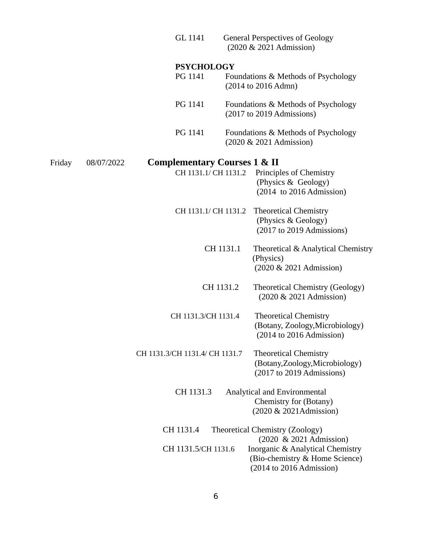|        |            | GL 1141                                 | <b>General Perspectives of Geology</b><br>(2020 & 2021 Admission)                              |
|--------|------------|-----------------------------------------|------------------------------------------------------------------------------------------------|
|        |            | <b>PSYCHOLOGY</b>                       |                                                                                                |
|        |            | PG 1141                                 | Foundations & Methods of Psychology<br>(2014 to 2016 Admn)                                     |
|        |            | PG 1141                                 | Foundations & Methods of Psychology<br>(2017 to 2019 Admissions)                               |
|        |            | PG 1141                                 | Foundations & Methods of Psychology<br>(2020 & 2021 Admission)                                 |
| Friday | 08/07/2022 | <b>Complementary Courses 1 &amp; II</b> |                                                                                                |
|        |            | CH 1131.1/ CH 1131.2                    | Principles of Chemistry<br>(Physics & Geology)<br>$(2014)$ to 2016 Admission)                  |
|        |            | CH 1131.1/ CH 1131.2                    | <b>Theoretical Chemistry</b><br>(Physics & Geology)<br>(2017 to 2019 Admissions)               |
|        |            | CH 1131.1                               | Theoretical & Analytical Chemistry<br>(Physics)<br>(2020 & 2021 Admission)                     |
|        |            | CH 1131.2                               | <b>Theoretical Chemistry (Geology)</b><br>(2020 & 2021 Admission)                              |
|        |            | CH 1131.3/CH 1131.4                     | <b>Theoretical Chemistry</b><br>(Botany, Zoology, Microbiology)<br>$(2014$ to 2016 Admission)  |
|        |            | CH 1131.3/CH 1131.4/ CH 1131.7          | <b>Theoretical Chemistry</b><br>(Botany, Zoology, Microbiology)<br>$(2017$ to 2019 Admissions) |
|        |            | CH 1131.3                               | Analytical and Environmental<br>Chemistry for (Botany)<br>(2020 & 2021Admission)               |
|        |            | CH 1131.4                               | <b>Theoretical Chemistry (Zoology)</b><br>(2020 & 2021 Admission)                              |
|        |            | CH 1131.5/CH 1131.6                     | Inorganic & Analytical Chemistry<br>(Bio-chemistry & Home Science)<br>(2014 to 2016 Admission) |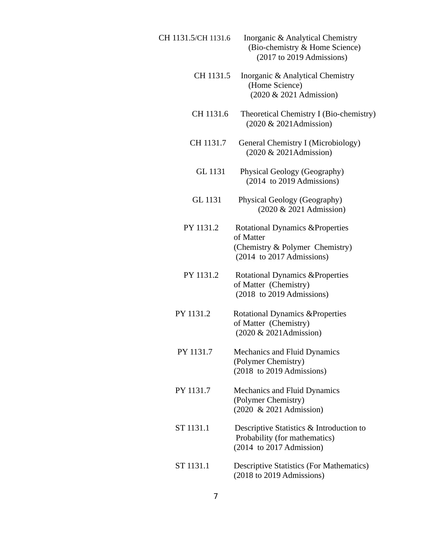| CH 1131.5/CH 1131.6 | Inorganic & Analytical Chemistry<br>(Bio-chemistry & Home Science)<br>(2017 to 2019 Admissions)                          |
|---------------------|--------------------------------------------------------------------------------------------------------------------------|
| CH 1131.5           | Inorganic & Analytical Chemistry<br>(Home Science)<br>(2020 & 2021 Admission)                                            |
| CH 1131.6           | Theoretical Chemistry I (Bio-chemistry)<br>(2020 & 2021Admission)                                                        |
| CH 1131.7           | <b>General Chemistry I (Microbiology)</b><br>(2020 & 2021Admission)                                                      |
| GL 1131             | Physical Geology (Geography)<br>$(2014 \text{ to } 2019 \text{ Admissions})$                                             |
| GL 1131             | <b>Physical Geology (Geography)</b><br>(2020 & 2021 Admission)                                                           |
| PY 1131.2           | <b>Rotational Dynamics &amp; Properties</b><br>of Matter<br>(Chemistry & Polymer Chemistry)<br>(2014 to 2017 Admissions) |
| PY 1131.2           | <b>Rotational Dynamics &amp; Properties</b><br>of Matter (Chemistry)<br>(2018 to 2019 Admissions)                        |
| PY 1131.2           | <b>Rotational Dynamics &amp; Properties</b><br>of Matter (Chemistry)<br>(2020 & 2021Admission)                           |
| PY 1131.7           | <b>Mechanics and Fluid Dynamics</b><br>(Polymer Chemistry)<br>(2018 to 2019 Admissions)                                  |
| PY 1131.7           | <b>Mechanics and Fluid Dynamics</b><br>(Polymer Chemistry)<br>(2020 & 2021 Admission)                                    |
| ST 1131.1           | Descriptive Statistics & Introduction to<br>Probability (for mathematics)<br>$(2014)$ to 2017 Admission)                 |
| ST 1131.1           | <b>Descriptive Statistics (For Mathematics)</b><br>(2018 to 2019 Admissions)                                             |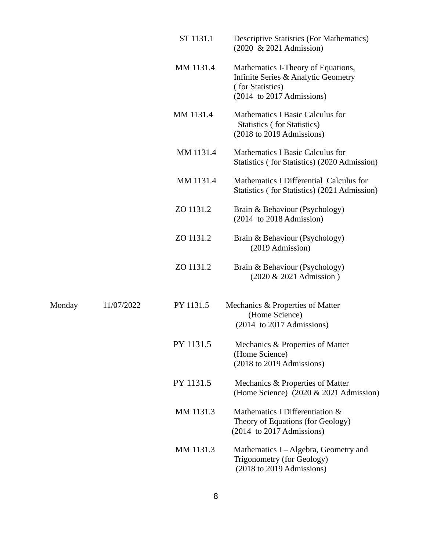|        |            | ST 1131.1 | <b>Descriptive Statistics (For Mathematics)</b><br>(2020 & 2021 Admission)                                                                    |
|--------|------------|-----------|-----------------------------------------------------------------------------------------------------------------------------------------------|
|        |            | MM 1131.4 | Mathematics I-Theory of Equations,<br>Infinite Series & Analytic Geometry<br>(for Statistics)<br>$(2014 \text{ to } 2017 \text{ Admissions})$ |
|        |            | MM 1131.4 | <b>Mathematics I Basic Calculus for</b><br><b>Statistics (for Statistics)</b><br>(2018 to 2019 Admissions)                                    |
|        |            | MM 1131.4 | <b>Mathematics I Basic Calculus for</b><br>Statistics (for Statistics) (2020 Admission)                                                       |
|        |            | MM 1131.4 | Mathematics I Differential Calculus for<br>Statistics (for Statistics) (2021 Admission)                                                       |
|        |            | ZO 1131.2 | Brain & Behaviour (Psychology)<br>$(2014)$ to 2018 Admission)                                                                                 |
|        |            | ZO 1131.2 | Brain & Behaviour (Psychology)<br>(2019 Admission)                                                                                            |
|        |            | ZO 1131.2 | Brain & Behaviour (Psychology)<br>(2020 & 2021 Admission)                                                                                     |
| Monday | 11/07/2022 | PY 1131.5 | Mechanics & Properties of Matter<br>(Home Science)<br>$(2014 \text{ to } 2017 \text{ Admissions})$                                            |
|        |            | PY 1131.5 | Mechanics & Properties of Matter<br>(Home Science)<br>(2018 to 2019 Admissions)                                                               |
|        |            | PY 1131.5 | Mechanics & Properties of Matter<br>(Home Science) (2020 & 2021 Admission)                                                                    |
|        |            | MM 1131.3 | Mathematics I Differentiation &<br>Theory of Equations (for Geology)<br>(2014 to 2017 Admissions)                                             |
|        |            | MM 1131.3 | Mathematics I – Algebra, Geometry and<br><b>Trigonometry (for Geology)</b><br>(2018 to 2019 Admissions)                                       |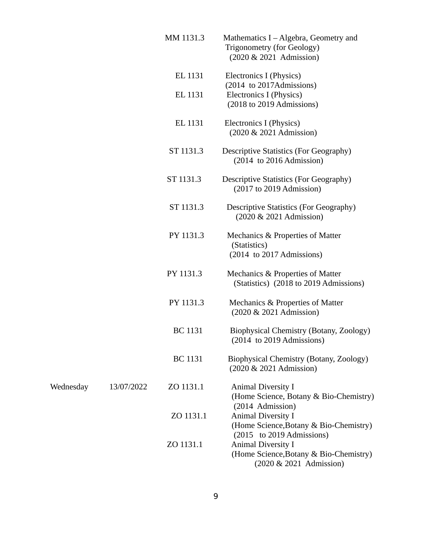|           |            | MM 1131.3      | Mathematics I – Algebra, Geometry and<br><b>Trigonometry (for Geology)</b><br>(2020 & 2021 Admission)                       |
|-----------|------------|----------------|-----------------------------------------------------------------------------------------------------------------------------|
|           |            | EL 1131        | Electronics I (Physics)<br>$(2014 \text{ to } 2017 \text{Admissions})$                                                      |
|           |            | EL 1131        | Electronics I (Physics)<br>(2018 to 2019 Admissions)                                                                        |
|           |            | EL 1131        | Electronics I (Physics)<br>(2020 & 2021 Admission)                                                                          |
|           |            | ST 1131.3      | <b>Descriptive Statistics (For Geography)</b><br>$(2014)$ to 2016 Admission)                                                |
|           |            | ST 1131.3      | <b>Descriptive Statistics (For Geography)</b><br>$(2017$ to 2019 Admission)                                                 |
|           |            | ST 1131.3      | <b>Descriptive Statistics (For Geography)</b><br>(2020 & 2021 Admission)                                                    |
|           |            | PY 1131.3      | Mechanics & Properties of Matter<br>(Statistics)<br>(2014 to 2017 Admissions)                                               |
|           |            | PY 1131.3      | Mechanics & Properties of Matter<br>(Statistics) (2018 to 2019 Admissions)                                                  |
|           |            | PY 1131.3      | Mechanics & Properties of Matter<br>(2020 & 2021 Admission)                                                                 |
|           |            | <b>BC</b> 1131 | Biophysical Chemistry (Botany, Zoology)<br>$(2014 \text{ to } 2019 \text{ Admissions})$                                     |
|           |            | <b>BC</b> 1131 | Biophysical Chemistry (Botany, Zoology)<br>(2020 & 2021 Admission)                                                          |
| Wednesday | 13/07/2022 | ZO 1131.1      | <b>Animal Diversity I</b><br>(Home Science, Botany & Bio-Chemistry)                                                         |
|           |            | ZO 1131.1      | (2014 Admission)<br><b>Animal Diversity I</b><br>(Home Science, Botany & Bio-Chemistry)                                     |
|           |            | ZO 1131.1      | (2015 to 2019 Admissions)<br><b>Animal Diversity I</b><br>(Home Science, Botany & Bio-Chemistry)<br>(2020 & 2021 Admission) |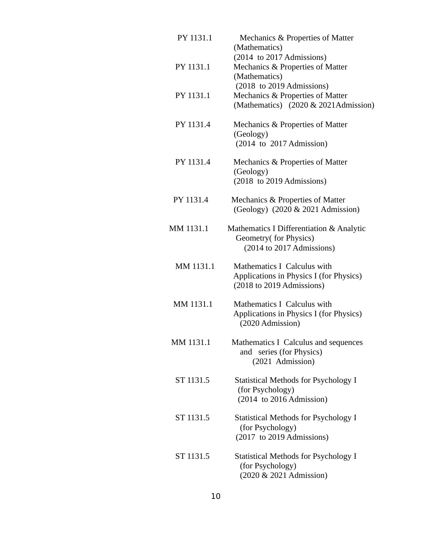| PY 1131.1 | Mechanics & Properties of Matter<br>(Mathematics)<br>(2014 to 2017 Admissions)                                 |
|-----------|----------------------------------------------------------------------------------------------------------------|
| PY 1131.1 | Mechanics & Properties of Matter<br>(Mathematics)                                                              |
| PY 1131.1 | (2018 to 2019 Admissions)<br>Mechanics & Properties of Matter<br>(Mathematics) (2020 & 2021Admission)          |
| PY 1131.4 | Mechanics & Properties of Matter<br>(Geology)<br>$(2014$ to $2017$ Admission)                                  |
| PY 1131.4 | Mechanics & Properties of Matter<br>(Geology)<br>(2018 to 2019 Admissions)                                     |
| PY 1131.4 | Mechanics & Properties of Matter<br>(Geology) (2020 & 2021 Admission)                                          |
| MM 1131.1 | Mathematics I Differentiation & Analytic<br>Geometry(for Physics)<br>(2014 to 2017 Admissions)                 |
| MM 1131.1 | Mathematics I Calculus with<br>Applications in Physics I (for Physics)<br>(2018 to 2019 Admissions)            |
| MM 1131.1 | Mathematics I Calculus with<br>Applications in Physics I (for Physics)<br>(2020 Admission)                     |
| MM 1131.1 | Mathematics I Calculus and sequences<br>and series (for Physics)<br>(2021 Admission)                           |
| ST 1131.5 | <b>Statistical Methods for Psychology I</b><br>(for Psychology)<br>$(2014 \text{ to } 2016 \text{ Admission})$ |
| ST 1131.5 | <b>Statistical Methods for Psychology I</b><br>(for Psychology)<br>(2017 to 2019 Admissions)                   |
| ST 1131.5 | <b>Statistical Methods for Psychology I</b><br>(for Psychology)<br>(2020 & 2021 Admission)                     |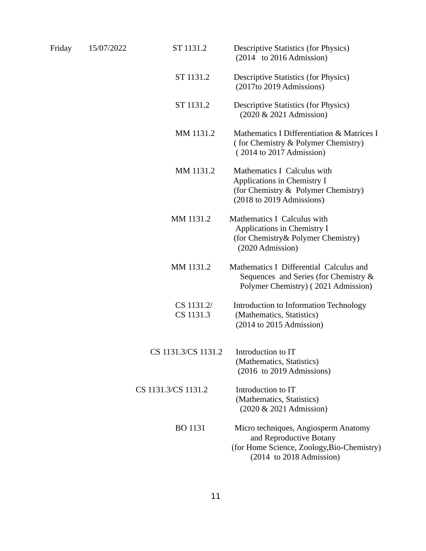| Friday | 15/07/2022 | ST 1131.2               | <b>Descriptive Statistics (for Physics)</b><br>$(2014 \text{ to } 2016 \text{ Admission})$                                                   |
|--------|------------|-------------------------|----------------------------------------------------------------------------------------------------------------------------------------------|
|        |            | ST 1131.2               | <b>Descriptive Statistics (for Physics)</b><br>(2017to 2019 Admissions)                                                                      |
|        |            | ST 1131.2               | <b>Descriptive Statistics (for Physics)</b><br>(2020 & 2021 Admission)                                                                       |
|        |            | MM 1131.2               | Mathematics I Differentiation & Matrices I<br>(for Chemistry & Polymer Chemistry)<br>(2014 to 2017 Admission)                                |
|        |            | MM 1131.2               | Mathematics I Calculus with<br>Applications in Chemistry I<br>(for Chemistry & Polymer Chemistry)<br>(2018 to 2019 Admissions)               |
|        |            | MM 1131.2               | Mathematics I Calculus with<br>Applications in Chemistry I<br>(for Chemistry& Polymer Chemistry)<br>(2020 Admission)                         |
|        |            | MM 1131.2               | Mathematics I Differential Calculus and<br>Sequences and Series (for Chemistry &<br>Polymer Chemistry) (2021 Admission)                      |
|        |            | CS 1131.2/<br>CS 1131.3 | Introduction to Information Technology<br>(Mathematics, Statistics)<br>$(2014$ to 2015 Admission)                                            |
|        |            | CS 1131.3/CS 1131.2     | Introduction to IT<br>(Mathematics, Statistics)<br>(2016 to 2019 Admissions)                                                                 |
|        |            | CS 1131.3/CS 1131.2     | Introduction to IT<br>(Mathematics, Statistics)<br>(2020 & 2021 Admission)                                                                   |
|        |            | <b>BO 1131</b>          | Micro techniques, Angiosperm Anatomy<br>and Reproductive Botany<br>(for Home Science, Zoology, Bio-Chemistry)<br>$(2014)$ to 2018 Admission) |